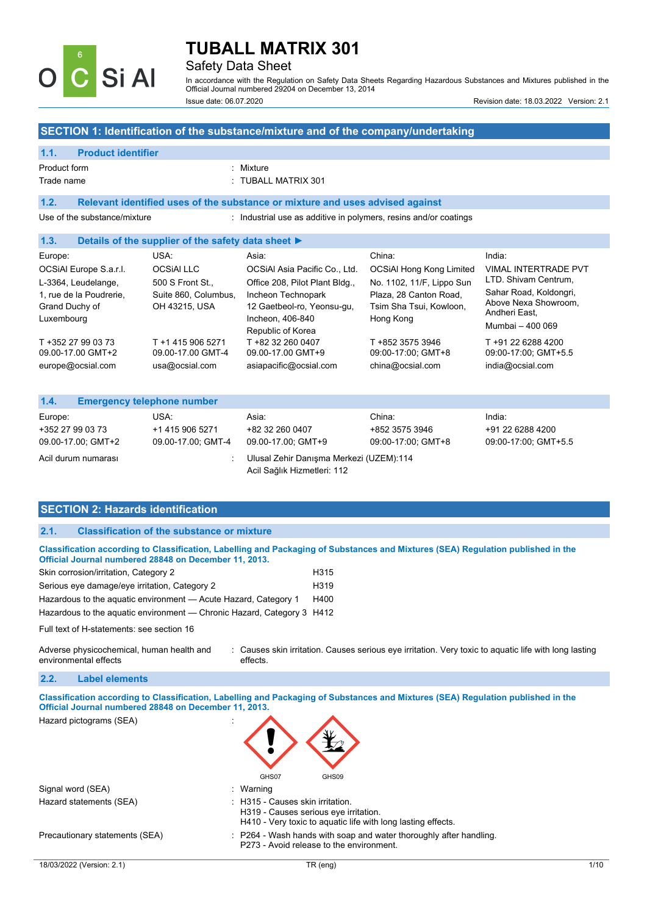

### Safety Data Sheet

In accordance with the Regulation on Safety Data Sheets Regarding Hazardous Substances and Mixtures published in the Official Journal numbered 29204 on December 13, 2014 Issue date: 06.07.2020 Revision date: 18.03.2022 Version: 2.1

### **SECTION 1: Identification of the substance/mixture and of the company/undertaking**

#### **1.1. Product identifier**

### Product form : Nixture

Trade name : TUBALL MATRIX 301

### **1.2. Relevant identified uses of the substance or mixture and uses advised against**

Use of the substance/mixture : Industrial use as additive in polymers, resins and/or coatings

### **1.3. Details of the supplier of the safety data sheet ►**

| Europe:                                                 | USA:                                  | Asia:                                                                                     | China:                                                         | India:                                                                              |
|---------------------------------------------------------|---------------------------------------|-------------------------------------------------------------------------------------------|----------------------------------------------------------------|-------------------------------------------------------------------------------------|
| OCSIAI Europe S.a.r.l.                                  | <b>OCSIAI LLC</b>                     | OCSIAI Asia Pacific Co., Ltd.                                                             | <b>OCSiAl Hong Kong Limited</b>                                | <b>VIMAL INTERTRADE PVT</b>                                                         |
| L-3364, Leudelange,                                     | 500 S Front St.,                      | Office 208, Pilot Plant Bldg.,                                                            | No. 1102, 11/F, Lippo Sun                                      | LTD. Shivam Centrum,                                                                |
| 1, rue de la Poudrerie,<br>Grand Duchy of<br>Luxembourg | Suite 860, Columbus,<br>OH 43215, USA | Incheon Technopark<br>12 Gaetbeol-ro, Yeonsu-qu,<br>Incheon, 406-840<br>Republic of Korea | Plaza, 28 Canton Road,<br>Tsim Sha Tsui, Kowloon,<br>Hong Kong | Sahar Road, Koldongri,<br>Above Nexa Showroom,<br>Andheri East.<br>Mumbai - 400 069 |
| T +352 27 99 03 73                                      | T +1 415 906 5271                     | T +82 32 260 0407                                                                         | T +852 3575 3946                                               | T +91 22 6288 4200                                                                  |
| 09.00-17.00 GMT+2                                       | 09.00-17.00 GMT-4                     | 09.00-17.00 GMT+9                                                                         | 09:00-17:00; GMT+8                                             | 09:00-17:00; GMT+5.5                                                                |
| europe@ocsial.com                                       | usa@ocsial.com                        | asiapacific@ocsial.com                                                                    | china@ocsial.com                                               | india@ocsial.com                                                                    |

| 1.4.                                   | <b>Emergency telephone number</b>     |                                                                        |                                      |                                          |
|----------------------------------------|---------------------------------------|------------------------------------------------------------------------|--------------------------------------|------------------------------------------|
| Europe:                                | USA.                                  | Asia:                                                                  | China:                               | India:                                   |
| +352 27 99 03 73<br>09.00-17.00; GMT+2 | +1 415 906 5271<br>09.00-17.00; GMT-4 | +82 32 260 0407<br>09.00-17.00: GMT+9                                  | +852 3575 3946<br>09:00-17:00; GMT+8 | +91 22 6288 4200<br>09:00-17:00; GMT+5.5 |
| Acil durum numarası                    |                                       | Ulusal Zehir Danışma Merkezi (UZEM):114<br>Acil Sağlık Hizmetleri: 112 |                                      |                                          |

### **SECTION 2: Hazards identification**

### **2.1. Classification of the substance or mixture**

| Classification according to Classification, Labelling and Packaging of Substances and Mixtures (SEA) Regulation published in the<br>Official Journal numbered 28848 on December 11, 2013. |                   |  |
|-------------------------------------------------------------------------------------------------------------------------------------------------------------------------------------------|-------------------|--|
| Skin corrosion/irritation, Category 2                                                                                                                                                     | H315              |  |
| Serious eye damage/eye irritation, Category 2                                                                                                                                             | H <sub>3</sub> 19 |  |
| Hazardous to the aquatic environment — Acute Hazard, Category 1                                                                                                                           | H400              |  |

Hazardous to the aquatic environment — Chronic Hazard, Category 3 H412

Full text of H-statements: see section 16

Adverse physicochemical, human health and environmental effects : Causes skin irritation. Causes serious eye irritation. Very toxic to aquatic life with long lasting effects.

#### **2.2. Label elements**

**Classification according to Classification, Labelling and Packaging of Substances and Mixtures (SEA) Regulation published in the Official Journal numbered 28848 on December 11, 2013.** 

Hazard pictograms (SEA) :

| GHS07 | GHS09 |
|-------|-------|

|                                | GHS07<br>GHS09                                                                                                                            |      |
|--------------------------------|-------------------------------------------------------------------------------------------------------------------------------------------|------|
| Signal word (SEA)              | : Warning                                                                                                                                 |      |
| Hazard statements (SEA)        | : H315 - Causes skin irritation.<br>H319 - Causes serious eye irritation.<br>H410 - Very toxic to aquatic life with long lasting effects. |      |
| Precautionary statements (SEA) | : P264 - Wash hands with soap and water thoroughly after handling.<br>P273 - Avoid release to the environment.                            |      |
| 18/03/2022 (Version: 2.1)      | TR (eng)                                                                                                                                  | 1/10 |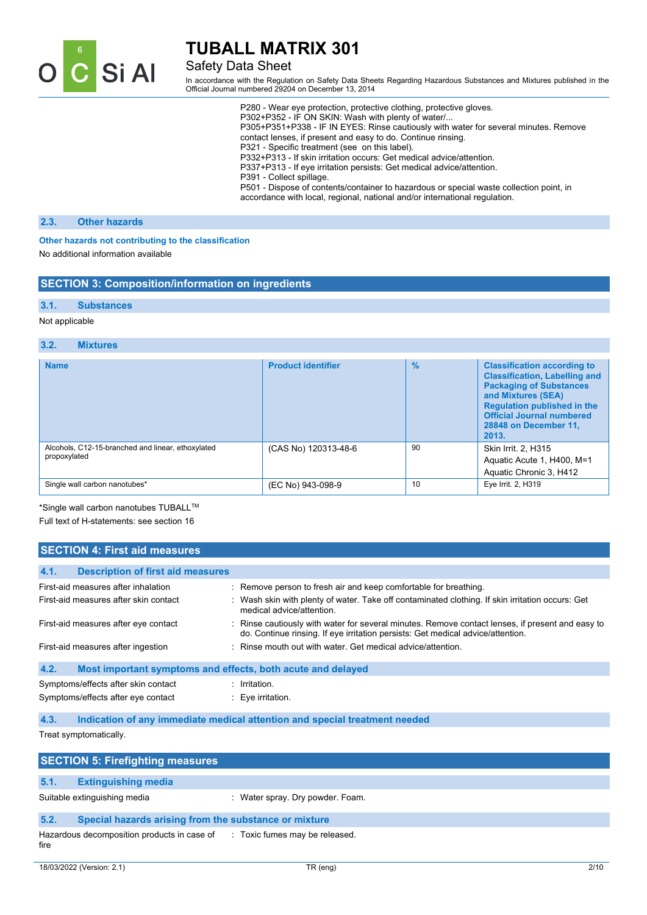

### Safety Data Sheet

In accordance with the Regulation on Safety Data Sheets Regarding Hazardous Substances and Mixtures published in the Official Journal numbered 29204 on December 13, 2014

| P280 - Wear eye protection, protective clothing, protective gloves.                                                                                                   |
|-----------------------------------------------------------------------------------------------------------------------------------------------------------------------|
| P302+P352 - IF ON SKIN: Wash with plenty of water/                                                                                                                    |
| P305+P351+P338 - IF IN EYES: Rinse cautiously with water for several minutes. Remove                                                                                  |
| contact lenses, if present and easy to do. Continue rinsing.                                                                                                          |
| P321 - Specific treatment (see on this label).                                                                                                                        |
| P332+P313 - If skin irritation occurs: Get medical advice/attention.                                                                                                  |
| P337+P313 - If eye irritation persists: Get medical advice/attention.                                                                                                 |
| P391 - Collect spillage.                                                                                                                                              |
| P501 - Dispose of contents/container to hazardous or special waste collection point, in<br>accordance with local, regional, national and/or international regulation. |
|                                                                                                                                                                       |

### **2.3. Other hazards**

#### **Other hazards not contributing to the classification**

No additional information available

### **SECTION 3: Composition/information on ingredients**

### **3.1. Substances**

### Not applicable

#### **3.2. Mixtures**

| <b>Name</b>                                                       | <b>Product identifier</b> | $\frac{0}{0}$ | <b>Classification according to</b><br><b>Classification, Labelling and</b><br><b>Packaging of Substances</b><br>and Mixtures (SEA)<br><b>Regulation published in the</b><br><b>Official Journal numbered</b><br>28848 on December 11,<br>2013. |
|-------------------------------------------------------------------|---------------------------|---------------|------------------------------------------------------------------------------------------------------------------------------------------------------------------------------------------------------------------------------------------------|
| Alcohols, C12-15-branched and linear, ethoxylated<br>propoxylated | (CAS No) 120313-48-6      | 90            | Skin Irrit. 2, H315<br>Aquatic Acute 1, H400, M=1<br>Aquatic Chronic 3, H412                                                                                                                                                                   |
| Single wall carbon nanotubes*                                     | (EC No) 943-098-9         | 10            | Eye Irrit. 2, H319                                                                                                                                                                                                                             |

\*Single wall carbon nanotubes TUBALLTM

Full text of H-statements: see section 16

| <b>SECTION 4: First aid measures</b>                                |                                                                                                                                                                                     |  |
|---------------------------------------------------------------------|-------------------------------------------------------------------------------------------------------------------------------------------------------------------------------------|--|
| 4.1.<br><b>Description of first aid measures</b>                    |                                                                                                                                                                                     |  |
|                                                                     |                                                                                                                                                                                     |  |
| First-aid measures after inhalation                                 | : Remove person to fresh air and keep comfortable for breathing.                                                                                                                    |  |
| First-aid measures after skin contact                               | : Wash skin with plenty of water. Take off contaminated clothing. If skin irritation occurs: Get<br>medical advice/attention.                                                       |  |
| First-aid measures after eye contact                                | : Rinse cautiously with water for several minutes. Remove contact lenses, if present and easy to<br>do. Continue rinsing. If eye irritation persists: Get medical advice/attention. |  |
| First-aid measures after ingestion                                  | : Rinse mouth out with water. Get medical advice/attention.                                                                                                                         |  |
| 4.2.<br>Most important symptoms and effects, both acute and delayed |                                                                                                                                                                                     |  |
| Symptoms/effects after skin contact                                 | $:$ Irritation.                                                                                                                                                                     |  |
| Symptoms/effects after eye contact                                  | $\therefore$ Eye irritation.                                                                                                                                                        |  |
| 4.3.                                                                | Indication of any immediate medical attention and special treatment needed                                                                                                          |  |

Treat symptomatically.

|      | <b>SECTION 5: Firefighting measures</b>                                  |                                  |  |
|------|--------------------------------------------------------------------------|----------------------------------|--|
|      |                                                                          |                                  |  |
| 5.1. | <b>Extinguishing media</b>                                               |                                  |  |
|      | Suitable extinguishing media                                             | : Water spray. Dry powder. Foam. |  |
| 5.2. | Special hazards arising from the substance or mixture                    |                                  |  |
| fire | Hazardous decomposition products in case of Toxic fumes may be released. |                                  |  |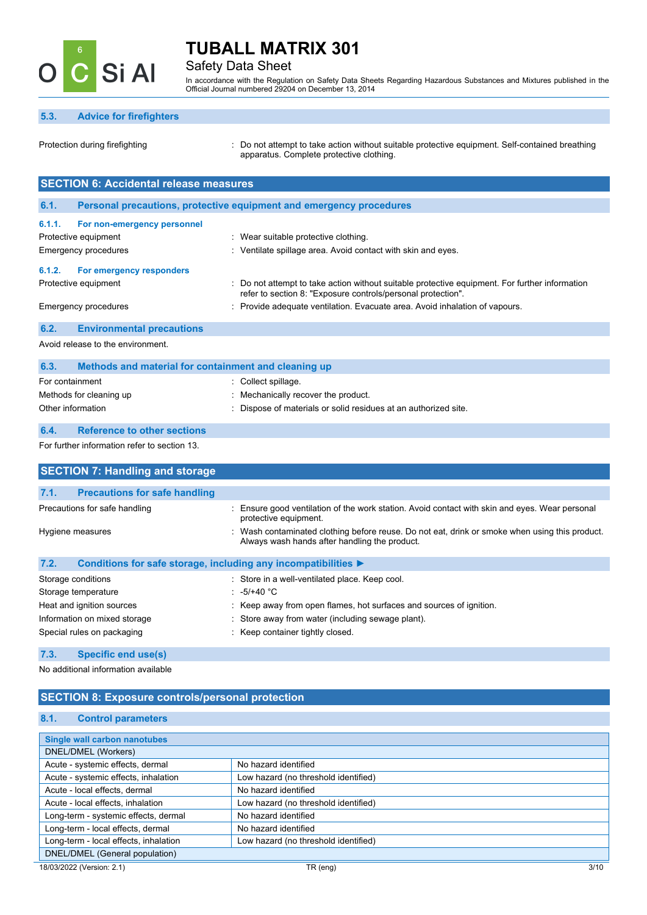

### Safety Data Sheet

In accordance with the Regulation on Safety Data Sheets Regarding Hazardous Substances and Mixtures published in the Official Journal numbered 29204 on December 13, 2014

### **5.3. Advice for firefighters**

Protection during firefighting **intercontage action** : Do not attempt to take action without suitable protective equipment. Self-contained breathing apparatus. Complete protective clothing.

|                                   | <b>SECTION 6: Accidental release measures</b>                       |                                                                                                                                                              |  |
|-----------------------------------|---------------------------------------------------------------------|--------------------------------------------------------------------------------------------------------------------------------------------------------------|--|
|                                   |                                                                     |                                                                                                                                                              |  |
| 6.1.                              | Personal precautions, protective equipment and emergency procedures |                                                                                                                                                              |  |
| 6.1.1.                            | For non-emergency personnel                                         |                                                                                                                                                              |  |
|                                   | Protective equipment<br>Wear suitable protective clothing.          |                                                                                                                                                              |  |
|                                   | Emergency procedures                                                | : Ventilate spillage area. Avoid contact with skin and eyes.                                                                                                 |  |
| 6.1.2.                            | For emergency responders                                            |                                                                                                                                                              |  |
|                                   | Protective equipment                                                | Do not attempt to take action without suitable protective equipment. For further information<br>refer to section 8: "Exposure controls/personal protection". |  |
|                                   | Emergency procedures                                                | : Provide adequate ventilation. Evacuate area. Avoid inhalation of vapours.                                                                                  |  |
| 6.2.                              | <b>Environmental precautions</b>                                    |                                                                                                                                                              |  |
| Avoid release to the environment. |                                                                     |                                                                                                                                                              |  |

| 6.3.<br>Methods and material for containment and cleaning up |                                                                 |
|--------------------------------------------------------------|-----------------------------------------------------------------|
| For containment                                              | : Collect spillage.                                             |
| Methods for cleaning up                                      | Mechanically recover the product.                               |
| Other information                                            | : Dispose of materials or solid residues at an authorized site. |

### **6.4. Reference to other sections**

For further information refer to section 13.

| <b>SECTION 7: Handling and storage</b>                                                                                                                            |                                                                                                                       |
|-------------------------------------------------------------------------------------------------------------------------------------------------------------------|-----------------------------------------------------------------------------------------------------------------------|
| 7.1.<br><b>Precautions for safe handling</b>                                                                                                                      |                                                                                                                       |
|                                                                                                                                                                   |                                                                                                                       |
| Precautions for safe handling                                                                                                                                     | Ensure good ventilation of the work station. Avoid contact with skin and eyes. Wear personal<br>protective equipment. |
| Wash contaminated clothing before reuse. Do not eat, drink or smoke when using this product.<br>Hygiene measures<br>Always wash hands after handling the product. |                                                                                                                       |
| 7.2.                                                                                                                                                              | Conditions for safe storage, including any incompatibilities ▶                                                        |
| Storage conditions                                                                                                                                                | : Store in a well-ventilated place. Keep cool.                                                                        |
| Storage temperature                                                                                                                                               | : $-5/+40$ °C                                                                                                         |
| Heat and ignition sources                                                                                                                                         | : Keep away from open flames, hot surfaces and sources of ignition.                                                   |
| Information on mixed storage                                                                                                                                      | : Store away from water (including sewage plant).                                                                     |
| Special rules on packaging                                                                                                                                        | : Keep container tightly closed.                                                                                      |

### **7.3. Specific end use(s)**

No additional information available

### **SECTION 8: Exposure controls/personal protection**

### **8.1. Control parameters**

| <b>Single wall carbon nanotubes</b>   |                                      |
|---------------------------------------|--------------------------------------|
| DNEL/DMEL (Workers)                   |                                      |
| Acute - systemic effects, dermal      | No hazard identified                 |
| Acute - systemic effects, inhalation  | Low hazard (no threshold identified) |
| Acute - local effects, dermal         | No hazard identified                 |
| Acute - local effects, inhalation     | Low hazard (no threshold identified) |
| Long-term - systemic effects, dermal  | No hazard identified                 |
| Long-term - local effects, dermal     | No hazard identified                 |
| Long-term - local effects, inhalation | Low hazard (no threshold identified) |
| DNEL/DMEL (General population)        |                                      |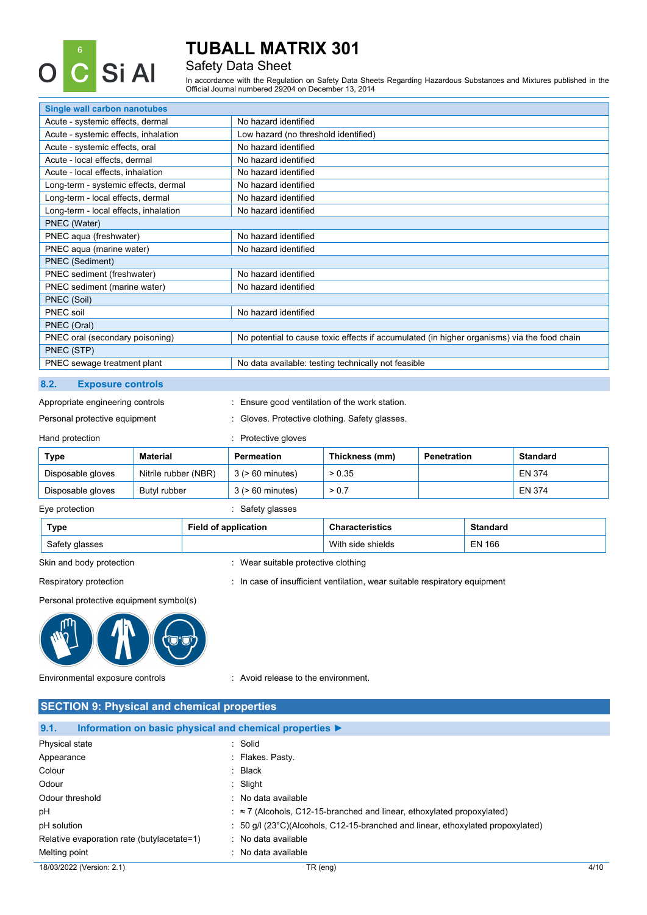

### Safety Data Sheet

In accordance with the Regulation on Safety Data Sheets Regarding Hazardous Substances and Mixtures published in the Official Journal numbered 29204 on December 13, 2014

| <b>Single wall carbon nanotubes</b>   |                                                                                             |
|---------------------------------------|---------------------------------------------------------------------------------------------|
| Acute - systemic effects, dermal      | No hazard identified                                                                        |
| Acute - systemic effects, inhalation  | Low hazard (no threshold identified)                                                        |
| Acute - systemic effects, oral        | No hazard identified                                                                        |
| Acute - local effects, dermal         | No hazard identified                                                                        |
| Acute - local effects, inhalation     | No hazard identified                                                                        |
| Long-term - systemic effects, dermal  | No hazard identified                                                                        |
| Long-term - local effects, dermal     | No hazard identified                                                                        |
| Long-term - local effects, inhalation | No hazard identified                                                                        |
| PNEC (Water)                          |                                                                                             |
| PNEC aqua (freshwater)                | No hazard identified                                                                        |
| PNEC aqua (marine water)              | No hazard identified                                                                        |
| PNEC (Sediment)                       |                                                                                             |
| PNEC sediment (freshwater)            | No hazard identified                                                                        |
| PNEC sediment (marine water)          | No hazard identified                                                                        |
| PNEC (Soil)                           |                                                                                             |
| PNEC soil                             | No hazard identified                                                                        |
| PNEC (Oral)                           |                                                                                             |
| PNEC oral (secondary poisoning)       | No potential to cause toxic effects if accumulated (in higher organisms) via the food chain |
| PNEC (STP)                            |                                                                                             |
| PNEC sewage treatment plant           | No data available: testing technically not feasible                                         |
|                                       |                                                                                             |

### **8.2. Exposure controls**

Appropriate engineering controls : Ensure good ventilation of the work station.

Personal protective equipment : Gloves. Protective clothing. Safety glasses.

### Hand protection **in the contract of the Contract Contract Contract Contract Contract Contract Contract Contract Contract Contract Contract Contract Contract Contract Contract Contract Contract Contract Contract Contract Co**

| Type              | <b>Material</b>      | Permeation            | Thickness (mm) | <b>Penetration</b> | <b>Standard</b> |
|-------------------|----------------------|-----------------------|----------------|--------------------|-----------------|
| Disposable gloves | Nitrile rubber (NBR) | $3$ ( $> 60$ minutes) | > 0.35         |                    | EN 374          |
| Disposable gloves | Butvl rubber         | $3$ ( $> 60$ minutes) | > 0.7          |                    | EN 374          |
|                   |                      |                       |                |                    |                 |

Eye protection  $\qquad \qquad$ : Safety glasses

| Type           | Field of application | <b>Characteristics</b> | <b>Standard</b> |
|----------------|----------------------|------------------------|-----------------|
| Safety glasses |                      | With side shields      | EN 166          |

Skin and body protection **interest and set of the set of the set of the set of the set of the set of the set of the set of the set of the set of the set of the set of the set of the set of the set of the set of the set of** 

Respiratory protection : In case of insufficient ventilation, wear suitable respiratory equipment

Personal protective equipment symbol(s)



Environmental exposure controls : Avoid release to the environment.

| <b>SECTION 9: Physical and chemical properties</b>                                  |                                                                                              |      |
|-------------------------------------------------------------------------------------|----------------------------------------------------------------------------------------------|------|
| 9.1.<br>Information on basic physical and chemical properties $\blacktriangleright$ |                                                                                              |      |
| Physical state                                                                      | : Solid                                                                                      |      |
| Appearance                                                                          | Flakes Pasty                                                                                 |      |
| Colour                                                                              | $:$ Black                                                                                    |      |
| Odour                                                                               | $\therefore$ Slight                                                                          |      |
| Odour threshold                                                                     | : No data available                                                                          |      |
| рH                                                                                  | $\approx$ 7 (Alcohols, C12-15-branched and linear, ethoxylated propoxylated)                 |      |
| pH solution                                                                         | : 50 $q/l$ (23 $^{\circ}$ C)(Alcohols, C12-15-branched and linear, ethoxylated propoxylated) |      |
| Relative evaporation rate (butylacetate=1)                                          | : No data available                                                                          |      |
| Melting point                                                                       | : No data available                                                                          |      |
| 18/03/2022 (Version: 2.1)                                                           | TR (eng)                                                                                     | 4/10 |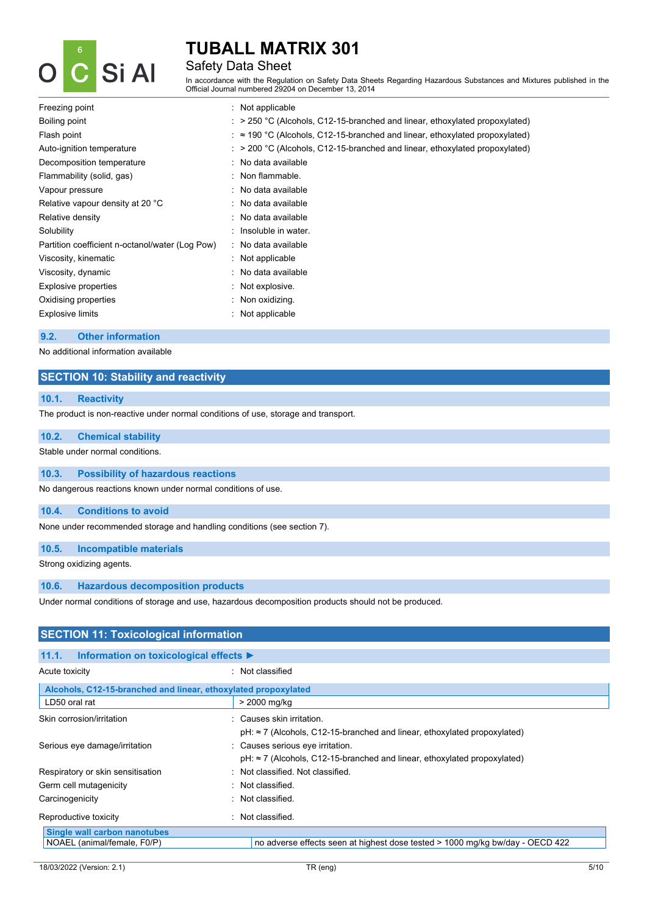

### Safety Data Sheet

In accordance with the Regulation on Safety Data Sheets Regarding Hazardous Substances and Mixtures published in the Official Journal numbered 29204 on December 13, 2014

| Freezing point                                  | $\therefore$ Not applicable                                                                    |
|-------------------------------------------------|------------------------------------------------------------------------------------------------|
| Boiling point                                   | $\therefore$ > 250 °C (Alcohols, C12-15-branched and linear, ethoxylated propoxylated)         |
| Flash point                                     | $\therefore$ $\approx$ 190 °C (Alcohols, C12-15-branched and linear, ethoxylated propoxylated) |
| Auto-ignition temperature                       | $\therefore$ > 200 °C (Alcohols, C12-15-branched and linear, ethoxylated propoxylated)         |
| Decomposition temperature                       | : No data available                                                                            |
| Flammability (solid, gas)                       | : Non flammable.                                                                               |
| Vapour pressure                                 | $\therefore$ No data available                                                                 |
| Relative vapour density at 20 °C                | : No data available                                                                            |
| Relative density                                | : No data available                                                                            |
| Solubility                                      | $\therefore$ Insoluble in water.                                                               |
| Partition coefficient n-octanol/water (Log Pow) | : No data available                                                                            |
| Viscosity, kinematic                            | $\therefore$ Not applicable                                                                    |
| Viscosity, dynamic                              | : No data available                                                                            |
| Explosive properties                            | : Not explosive.                                                                               |
| Oxidising properties                            | $\therefore$ Non oxidizing.                                                                    |
| <b>Explosive limits</b>                         | : Not applicable                                                                               |
|                                                 |                                                                                                |

#### **9.2. Other information**

No additional information available

### **SECTION 10: Stability and reactivity**

### **10.1. Reactivity**

The product is non-reactive under normal conditions of use, storage and transport.

### **10.2. Chemical stability**

Stable under normal conditions.

### **10.3. Possibility of hazardous reactions**

No dangerous reactions known under normal conditions of use.

#### **10.4. Conditions to avoid**

None under recommended storage and handling conditions (see section 7).

### **10.5. Incompatible materials**

Strong oxidizing agents.

### **10.6. Hazardous decomposition products**

Under normal conditions of storage and use, hazardous decomposition products should not be produced.

| <b>SECTION 11: Toxicological information</b>                   |                                                                                                              |  |  |
|----------------------------------------------------------------|--------------------------------------------------------------------------------------------------------------|--|--|
| 11.1.<br>Information on toxicological effects ▶                |                                                                                                              |  |  |
| Acute toxicity                                                 | : Not classified                                                                                             |  |  |
| Alcohols, C12-15-branched and linear, ethoxylated propoxylated |                                                                                                              |  |  |
| LD50 oral rat                                                  | > 2000 mg/kg                                                                                                 |  |  |
| Skin corrosion/irritation                                      | : Causes skin irritation.<br>pH: ≈ 7 (Alcohols, C12-15-branched and linear, ethoxylated propoxylated)        |  |  |
| Serious eye damage/irritation                                  | : Causes serious eye irritation.<br>pH: ≈ 7 (Alcohols, C12-15-branched and linear, ethoxylated propoxylated) |  |  |
| Respiratory or skin sensitisation                              | : Not classified. Not classified.                                                                            |  |  |
| Germ cell mutagenicity                                         | Not classified.                                                                                              |  |  |
| Carcinogenicity                                                | Not classified.<br>٠.                                                                                        |  |  |
| Reproductive toxicity                                          | Not classified.<br>÷                                                                                         |  |  |
| Single wall carbon nanotubes<br>NOAEL (animal/female, F0/P)    | no adverse effects seen at highest dose tested > 1000 mg/kg bw/day - OECD 422                                |  |  |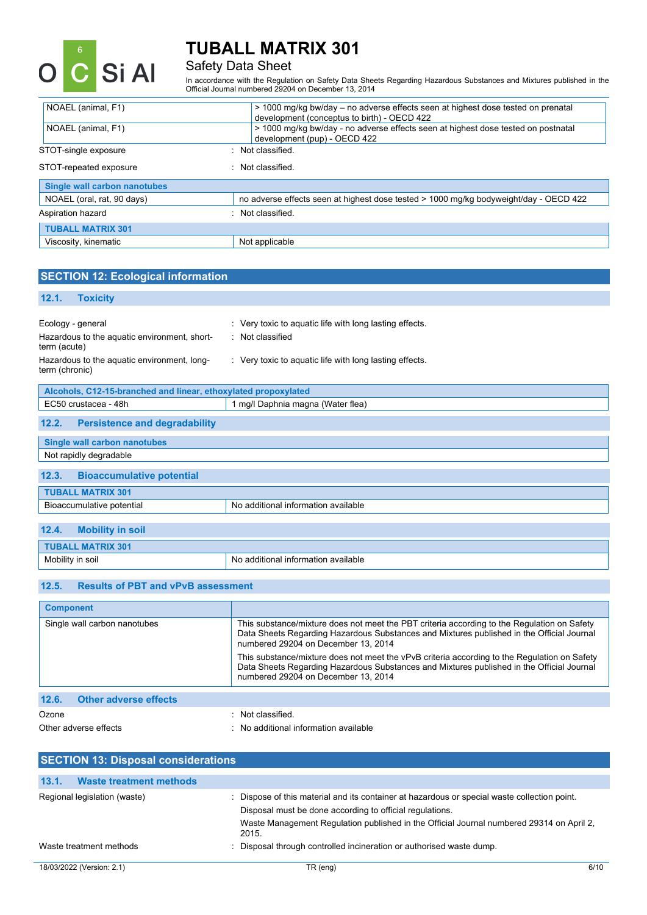

# Safety Data Sheet

In accordance with the Regulation on Safety Data Sheets Regarding Hazardous Substances and Mixtures published in the Official Journal numbered 29204 on December 13, 2014

| NOAEL (animal, F1)           |                  | > 1000 mg/kg bw/day – no adverse effects seen at highest dose tested on prenatal<br>development (conceptus to birth) - OECD 422 |
|------------------------------|------------------|---------------------------------------------------------------------------------------------------------------------------------|
| NOAEL (animal, F1)           |                  | > 1000 mg/kg bw/day - no adverse effects seen at highest dose tested on postnatal<br>development (pup) - OECD 422               |
| STOT-single exposure         | Not classified.  |                                                                                                                                 |
| STOT-repeated exposure       | . Not classified |                                                                                                                                 |
| Single wall carbon nanotubes |                  |                                                                                                                                 |
| NOAEL (oral, rat, 90 days)   |                  | no adverse effects seen at highest dose tested > 1000 mg/kg bodyweight/day - OECD 422                                           |
| Aspiration hazard            | Not classified.  |                                                                                                                                 |
| <b>TUBALL MATRIX 301</b>     |                  |                                                                                                                                 |
| Viscosity, kinematic         | Not applicable   |                                                                                                                                 |

| <b>SECTION 12: Ecological information</b>                                                                                                          |                                                                                                                                        |
|----------------------------------------------------------------------------------------------------------------------------------------------------|----------------------------------------------------------------------------------------------------------------------------------------|
| 12.1.<br><b>Toxicity</b>                                                                                                                           |                                                                                                                                        |
| Ecology - general<br>Hazardous to the aquatic environment, short-<br>term (acute)<br>Hazardous to the aquatic environment, long-<br>term (chronic) | : Very toxic to aquatic life with long lasting effects.<br>: Not classified<br>: Very toxic to aquatic life with long lasting effects. |
| Alcohols, C12-15-branched and linear, ethoxylated propoxylated                                                                                     |                                                                                                                                        |
| EC50 crustacea - 48h                                                                                                                               | 1 mg/l Daphnia magna (Water flea)                                                                                                      |
| <b>Persistence and degradability</b><br>12.2.                                                                                                      |                                                                                                                                        |
| <b>Single wall carbon nanotubes</b>                                                                                                                |                                                                                                                                        |
| Not rapidly degradable                                                                                                                             |                                                                                                                                        |
| 12.3.<br><b>Bioaccumulative potential</b>                                                                                                          |                                                                                                                                        |
| <b>TUBALL MATRIX 301</b>                                                                                                                           |                                                                                                                                        |
| Bioaccumulative potential                                                                                                                          | No additional information available                                                                                                    |
| 12.4.<br><b>Mobility in soil</b>                                                                                                                   |                                                                                                                                        |
| <b>TUBALL MATRIX 301</b>                                                                                                                           |                                                                                                                                        |
| Mobility in soil                                                                                                                                   | No additional information available                                                                                                    |
| <b>Results of PBT and vPvB assessment</b><br>12.5.                                                                                                 |                                                                                                                                        |
| <b>Component</b>                                                                                                                                   |                                                                                                                                        |

| <b>Component</b>                      |                                                                                                                                                                                                                                  |
|---------------------------------------|----------------------------------------------------------------------------------------------------------------------------------------------------------------------------------------------------------------------------------|
| Single wall carbon nanotubes          | This substance/mixture does not meet the PBT criteria according to the Regulation on Safety<br>Data Sheets Regarding Hazardous Substances and Mixtures published in the Official Journal<br>numbered 29204 on December 13, 2014  |
|                                       | This substance/mixture does not meet the vPvB criteria according to the Regulation on Safety<br>Data Sheets Regarding Hazardous Substances and Mixtures published in the Official Journal<br>numbered 29204 on December 13, 2014 |
| 12.6.<br><b>Other adverse effects</b> |                                                                                                                                                                                                                                  |
| Ozone                                 | Not classified.                                                                                                                                                                                                                  |
| Other adverse effects                 | : No additional information available                                                                                                                                                                                            |

| <b>SECTION 13: Disposal considerations</b> |                                                                                                                                                        |      |
|--------------------------------------------|--------------------------------------------------------------------------------------------------------------------------------------------------------|------|
| 13.1.<br><b>Waste treatment methods</b>    |                                                                                                                                                        |      |
| Regional legislation (waste)               | Dispose of this material and its container at hazardous or special waste collection point.<br>Disposal must be done according to official regulations. |      |
|                                            | Waste Management Regulation published in the Official Journal numbered 29314 on April 2,<br>2015.                                                      |      |
| Waste treatment methods                    | : Disposal through controlled incineration or authorised waste dump.                                                                                   |      |
| 18/03/2022 (Version: 2.1)                  | TR (eng)                                                                                                                                               | 6/10 |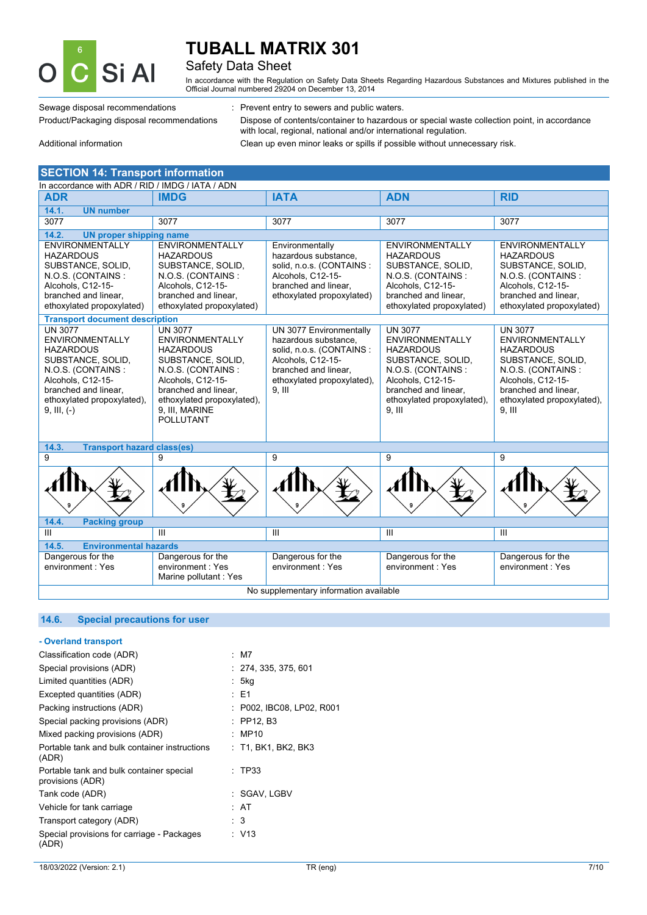

### Safety Data Sheet

In accordance with the Regulation on Safety Data Sheets Regarding Hazardous Substances and Mixtures published in the Official Journal numbered 29204 on December 13, 2014

Sewage disposal recommendations : Prevent entry to sewers and public waters.

Product/Packaging disposal recommendations Dispose of contents/container to hazardous or special waste collection point, in accordance with local, regional, national and/or international regulation.

Additional information Clean up even minor leaks or spills if possible without unnecessary risk.

| <b>SECTION 14: Transport information</b>                                                                                                                                                           |                                                                                                                                                                                                                         |                                                                                                                                                                     |                                                                                                                                                                                               |                                                                                                                                                                                               |  |  |
|----------------------------------------------------------------------------------------------------------------------------------------------------------------------------------------------------|-------------------------------------------------------------------------------------------------------------------------------------------------------------------------------------------------------------------------|---------------------------------------------------------------------------------------------------------------------------------------------------------------------|-----------------------------------------------------------------------------------------------------------------------------------------------------------------------------------------------|-----------------------------------------------------------------------------------------------------------------------------------------------------------------------------------------------|--|--|
| In accordance with ADR / RID / IMDG / IATA / ADN                                                                                                                                                   |                                                                                                                                                                                                                         |                                                                                                                                                                     |                                                                                                                                                                                               |                                                                                                                                                                                               |  |  |
| <b>ADR</b>                                                                                                                                                                                         | <b>IMDG</b>                                                                                                                                                                                                             | <b>IATA</b>                                                                                                                                                         | <b>ADN</b>                                                                                                                                                                                    | <b>RID</b>                                                                                                                                                                                    |  |  |
| 14.1.<br><b>UN number</b>                                                                                                                                                                          |                                                                                                                                                                                                                         |                                                                                                                                                                     |                                                                                                                                                                                               |                                                                                                                                                                                               |  |  |
| 3077                                                                                                                                                                                               | 3077                                                                                                                                                                                                                    | 3077                                                                                                                                                                | 3077                                                                                                                                                                                          | 3077                                                                                                                                                                                          |  |  |
| 14.2.<br><b>UN proper shipping name</b>                                                                                                                                                            |                                                                                                                                                                                                                         |                                                                                                                                                                     |                                                                                                                                                                                               |                                                                                                                                                                                               |  |  |
| <b>ENVIRONMENTALLY</b><br><b>HAZARDOUS</b><br>SUBSTANCE, SOLID,<br>N.O.S. (CONTAINS:<br>Alcohols, C12-15-<br>branched and linear.<br>ethoxylated propoxylated)                                     | <b>ENVIRONMENTALLY</b><br><b>HAZARDOUS</b><br>SUBSTANCE, SOLID,<br>N.O.S. (CONTAINS:<br>Alcohols, C12-15-<br>branched and linear.<br>ethoxylated propoxylated)                                                          | Environmentally<br>hazardous substance,<br>solid, n.o.s. (CONTAINS :<br>Alcohols, C12-15-<br>branched and linear,<br>ethoxylated propoxylated)                      | <b>ENVIRONMENTALLY</b><br><b>HAZARDOUS</b><br>SUBSTANCE, SOLID,<br>N.O.S. (CONTAINS:<br>Alcohols, C12-15-<br>branched and linear.<br>ethoxylated propoxylated)                                | <b>ENVIRONMENTALLY</b><br><b>HAZARDOUS</b><br>SUBSTANCE, SOLID,<br>N.O.S. (CONTAINS:<br>Alcohols, C12-15-<br>branched and linear.<br>ethoxylated propoxylated)                                |  |  |
| <b>Transport document description</b>                                                                                                                                                              |                                                                                                                                                                                                                         |                                                                                                                                                                     |                                                                                                                                                                                               |                                                                                                                                                                                               |  |  |
| <b>UN 3077</b><br><b>ENVIRONMENTALLY</b><br><b>HAZARDOUS</b><br>SUBSTANCE, SOLID,<br>N.O.S. (CONTAINS:<br>Alcohols, C12-15-<br>branched and linear,<br>ethoxylated propoxylated),<br>$9, III, (-)$ | <b>UN 3077</b><br><b>ENVIRONMENTALLY</b><br><b>HAZARDOUS</b><br>SUBSTANCE, SOLID,<br>N.O.S. (CONTAINS:<br>Alcohols, C12-15-<br>branched and linear,<br>ethoxylated propoxylated),<br>9, III, MARINE<br><b>POLLUTANT</b> | UN 3077 Environmentally<br>hazardous substance.<br>solid, n.o.s. (CONTAINS :<br>Alcohols, C12-15-<br>branched and linear,<br>ethoxylated propoxylated),<br>$9.$ III | <b>UN 3077</b><br><b>ENVIRONMENTALLY</b><br><b>HAZARDOUS</b><br>SUBSTANCE, SOLID,<br>N.O.S. (CONTAINS:<br>Alcohols, C12-15-<br>branched and linear,<br>ethoxylated propoxylated),<br>$9.$ III | <b>UN 3077</b><br><b>ENVIRONMENTALLY</b><br><b>HAZARDOUS</b><br>SUBSTANCE, SOLID,<br>N.O.S. (CONTAINS:<br>Alcohols, C12-15-<br>branched and linear,<br>ethoxylated propoxylated),<br>$9.$ III |  |  |
| 14.3.<br><b>Transport hazard class(es)</b>                                                                                                                                                         |                                                                                                                                                                                                                         |                                                                                                                                                                     |                                                                                                                                                                                               |                                                                                                                                                                                               |  |  |
| 9                                                                                                                                                                                                  | 9                                                                                                                                                                                                                       | 9                                                                                                                                                                   | 9                                                                                                                                                                                             | 9                                                                                                                                                                                             |  |  |
|                                                                                                                                                                                                    |                                                                                                                                                                                                                         |                                                                                                                                                                     |                                                                                                                                                                                               |                                                                                                                                                                                               |  |  |
| 14.4.<br><b>Packing group</b>                                                                                                                                                                      |                                                                                                                                                                                                                         |                                                                                                                                                                     |                                                                                                                                                                                               |                                                                                                                                                                                               |  |  |
| Ш                                                                                                                                                                                                  | Ш                                                                                                                                                                                                                       | III                                                                                                                                                                 | $\mathbf{III}$                                                                                                                                                                                | Ш                                                                                                                                                                                             |  |  |
| 14.5.<br><b>Environmental hazards</b>                                                                                                                                                              |                                                                                                                                                                                                                         |                                                                                                                                                                     |                                                                                                                                                                                               |                                                                                                                                                                                               |  |  |
| Dangerous for the<br>environment: Yes                                                                                                                                                              | Dangerous for the<br>environment: Yes<br>Marine pollutant: Yes                                                                                                                                                          | Dangerous for the<br>environment: Yes                                                                                                                               | Dangerous for the<br>environment: Yes                                                                                                                                                         | Dangerous for the<br>environment: Yes                                                                                                                                                         |  |  |
| No supplementary information available                                                                                                                                                             |                                                                                                                                                                                                                         |                                                                                                                                                                     |                                                                                                                                                                                               |                                                                                                                                                                                               |  |  |

### **14.6. Special precautions for user**

| - Overland transport                                         |                           |  |
|--------------------------------------------------------------|---------------------------|--|
| Classification code (ADR)                                    | : M7                      |  |
| Special provisions (ADR)                                     | : 274, 335, 375, 601      |  |
| Limited quantities (ADR)                                     | : 5kg                     |  |
| Excepted quantities (ADR)                                    | : E1                      |  |
| Packing instructions (ADR)                                   | : P002, IBC08, LP02, R001 |  |
| Special packing provisions (ADR)                             | $:$ PP12, B3              |  |
| Mixed packing provisions (ADR)                               | : MP10                    |  |
| Portable tank and bulk container instructions<br>(ADR)       | : T1, BK1, BK2, BK3       |  |
| Portable tank and bulk container special<br>provisions (ADR) | : TP33                    |  |
| Tank code (ADR)                                              | : SGAV, LGBV              |  |
| Vehicle for tank carriage                                    | : AT                      |  |
| Transport category (ADR)                                     | : 3                       |  |
| Special provisions for carriage - Packages<br>(ADR)          | : V13                     |  |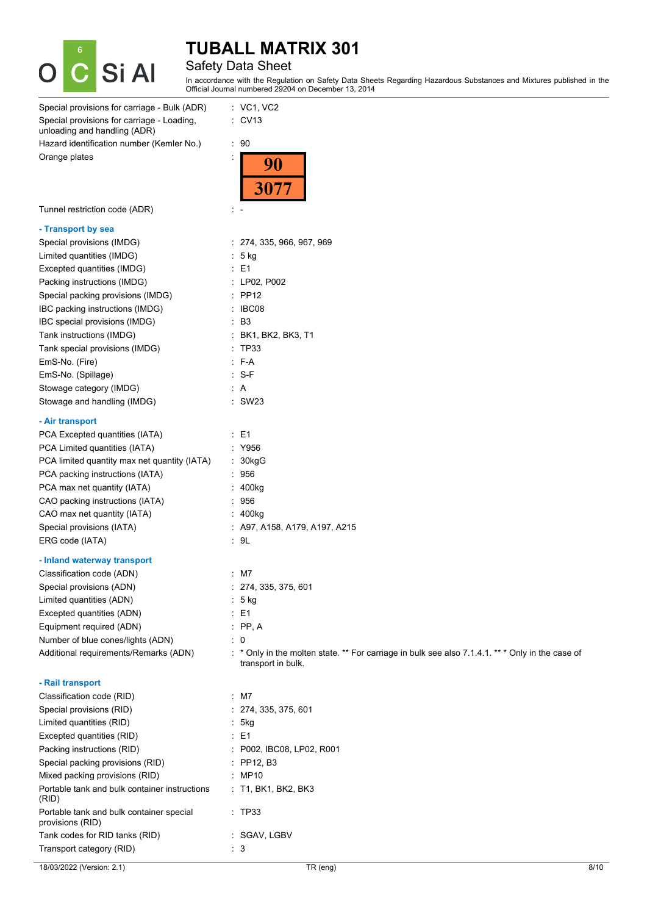

### Safety Data Sheet

In accordance with the Regulation on Safety Data Sheets Regarding Hazardous Substances and Mixtures published in the Official Journal numbered 29204 on December 13, 2014

| Special provisions for carriage - Bulk (ADR)                               | $:$ VC1, VC2                                                                                                           |
|----------------------------------------------------------------------------|------------------------------------------------------------------------------------------------------------------------|
| Special provisions for carriage - Loading,<br>unloading and handling (ADR) | $\therefore$ CV13                                                                                                      |
| Hazard identification number (Kemler No.)                                  | $\cdot$ 90                                                                                                             |
| Orange plates                                                              | 90                                                                                                                     |
| Tunnel restriction code (ADR)                                              | t -                                                                                                                    |
| - Transport by sea                                                         |                                                                                                                        |
| Special provisions (IMDG)                                                  | : 274, 335, 966, 967, 969                                                                                              |
| Limited quantities (IMDG)                                                  | : 5 kg                                                                                                                 |
| Excepted quantities (IMDG)                                                 | $\therefore$ E1                                                                                                        |
| Packing instructions (IMDG)                                                | : LP02, P002                                                                                                           |
| Special packing provisions (IMDG)                                          | $:$ PP12                                                                                                               |
| IBC packing instructions (IMDG)                                            | : IBC08                                                                                                                |
| IBC special provisions (IMDG)                                              | $\cdot$ B <sub>3</sub>                                                                                                 |
| Tank instructions (IMDG)                                                   | : BK1, BK2, BK3, T1                                                                                                    |
| Tank special provisions (IMDG)                                             | : TP33                                                                                                                 |
| EmS-No. (Fire)                                                             | : F-A                                                                                                                  |
| EmS-No. (Spillage)                                                         | $: S-F$                                                                                                                |
| Stowage category (IMDG)                                                    | : A                                                                                                                    |
| Stowage and handling (IMDG)                                                | : SW23                                                                                                                 |
| - Air transport                                                            |                                                                                                                        |
| PCA Excepted quantities (IATA)                                             | $\therefore$ E1                                                                                                        |
| PCA Limited quantities (IATA)                                              | : Y956                                                                                                                 |
| PCA limited quantity max net quantity (IATA)                               | : 30kgG                                                                                                                |
| PCA packing instructions (IATA)                                            | : 956                                                                                                                  |
| PCA max net quantity (IATA)                                                | : 400kg                                                                                                                |
| CAO packing instructions (IATA)                                            | : 956                                                                                                                  |
| CAO max net quantity (IATA)                                                | : 400kg                                                                                                                |
| Special provisions (IATA)                                                  | $:$ A97, A158, A179, A197, A215                                                                                        |
| ERG code (IATA)                                                            | .9L                                                                                                                    |
| - Inland waterway transport                                                |                                                                                                                        |
| Classification code (ADN)                                                  | $:$ M7                                                                                                                 |
| Special provisions (ADN)                                                   | : 274, 335, 375, 601                                                                                                   |
| Limited quantities (ADN)                                                   | : 5 kg                                                                                                                 |
| Excepted quantities (ADN)                                                  | $\therefore$ E1                                                                                                        |
| Equipment required (ADN)                                                   | $:$ PP, A                                                                                                              |
| Number of blue cones/lights (ADN)                                          | $\colon$ 0                                                                                                             |
| Additional requirements/Remarks (ADN)                                      | : * Only in the molten state. ** For carriage in bulk see also 7.1.4.1. ** * Only in the case of<br>transport in bulk. |
| - Rail transport                                                           |                                                                                                                        |
| Classification code (RID)                                                  | $:$ M7                                                                                                                 |
| Special provisions (RID)                                                   | : 274, 335, 375, 601                                                                                                   |
| Limited quantities (RID)                                                   | : 5kg                                                                                                                  |
| Excepted quantities (RID)                                                  | $\therefore$ E1                                                                                                        |
| Packing instructions (RID)                                                 | : P002, IBC08, LP02, R001                                                                                              |
| Special packing provisions (RID)                                           | : PP12, B3                                                                                                             |
| Mixed packing provisions (RID)                                             | : MP10                                                                                                                 |
| Portable tank and bulk container instructions<br>(RID)                     | : T1, BK1, BK2, BK3                                                                                                    |
| Portable tank and bulk container special<br>provisions (RID)               | $\therefore$ TP33                                                                                                      |
| Tank codes for RID tanks (RID)                                             | : SGAV, LGBV                                                                                                           |
| Transport category (RID)                                                   | : 3                                                                                                                    |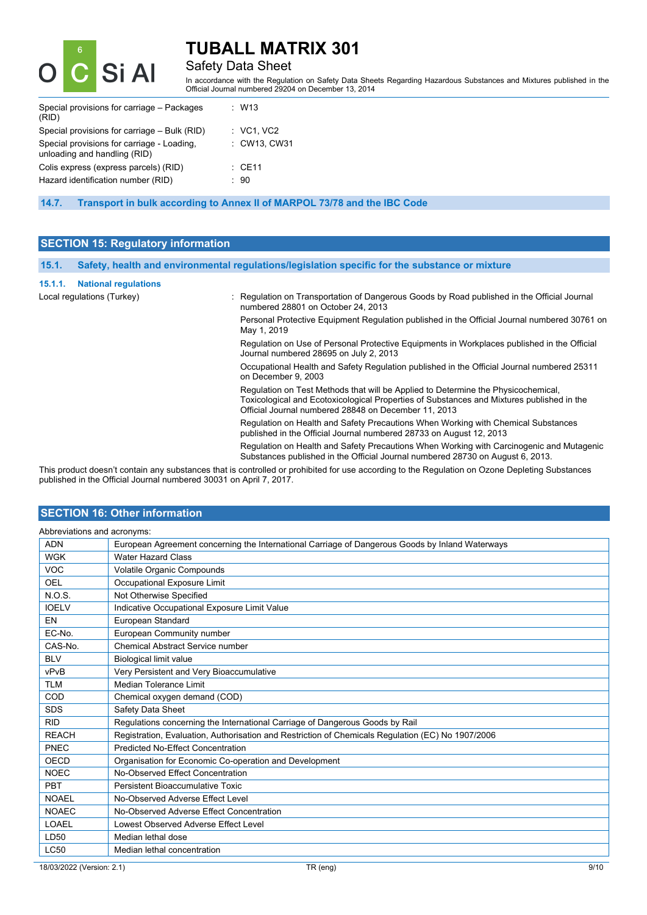

### Safety Data Sheet

In accordance with the Regulation on Safety Data Sheets Regarding Hazardous Substances and Mixtures published in the Official Journal numbered 29204 on December 13, 2014

| Special provisions for carriage – Packages<br>(RID)                        | : W13                 |
|----------------------------------------------------------------------------|-----------------------|
| Special provisions for carriage - Bulk (RID)                               | $\therefore$ VC1, VC2 |
| Special provisions for carriage - Loading,<br>unloading and handling (RID) | : CW13, CW31          |
| Colis express (express parcels) (RID)                                      | $\therefore$ CE11     |
| Hazard identification number (RID)                                         | : 90                  |
|                                                                            |                       |

**14.7. Transport in bulk according to Annex II of MARPOL 73/78 and the IBC Code**

### **SECTION 15: Regulatory information**

| 15.1.                      | Safety, health and environmental regulations/legislation specific for the substance or mixture |                                                                                                                                                                                                                                        |
|----------------------------|------------------------------------------------------------------------------------------------|----------------------------------------------------------------------------------------------------------------------------------------------------------------------------------------------------------------------------------------|
| 15.1.1.                    | <b>National regulations</b>                                                                    |                                                                                                                                                                                                                                        |
| Local regulations (Turkey) |                                                                                                | : Regulation on Transportation of Dangerous Goods by Road published in the Official Journal<br>numbered 28801 on October 24, 2013                                                                                                      |
|                            |                                                                                                | Personal Protective Equipment Regulation published in the Official Journal numbered 30761 on<br>May 1, 2019                                                                                                                            |
|                            |                                                                                                | Regulation on Use of Personal Protective Equipments in Workplaces published in the Official<br>Journal numbered 28695 on July 2, 2013                                                                                                  |
|                            |                                                                                                | Occupational Health and Safety Regulation published in the Official Journal numbered 25311<br>on December 9, 2003                                                                                                                      |
|                            |                                                                                                | Regulation on Test Methods that will be Applied to Determine the Physicochemical.<br>Toxicological and Ecotoxicological Properties of Substances and Mixtures published in the<br>Official Journal numbered 28848 on December 11, 2013 |
|                            |                                                                                                | Regulation on Health and Safety Precautions When Working with Chemical Substances<br>published in the Official Journal numbered 28733 on August 12, 2013                                                                               |
|                            |                                                                                                | Regulation on Health and Safety Precautions When Working with Carcinogenic and Mutagenic                                                                                                                                               |

Substances published in the Official Journal numbered 28730 on August 6, 2013.

This product doesn't contain any substances that is controlled or prohibited for use according to the Regulation on Ozone Depleting Substances published in the Official Journal numbered 30031 on April 7, 2017.

### **SECTION 16: Other information**

| Abbreviations and acronyms: |                                                                                                   |  |
|-----------------------------|---------------------------------------------------------------------------------------------------|--|
| <b>ADN</b>                  | European Agreement concerning the International Carriage of Dangerous Goods by Inland Waterways   |  |
| <b>WGK</b>                  | <b>Water Hazard Class</b>                                                                         |  |
| <b>VOC</b>                  | Volatile Organic Compounds                                                                        |  |
| <b>OEL</b>                  | Occupational Exposure Limit                                                                       |  |
| N.O.S.                      | Not Otherwise Specified                                                                           |  |
| <b>IOELV</b>                | Indicative Occupational Exposure Limit Value                                                      |  |
| EN                          | European Standard                                                                                 |  |
| EC-No.                      | European Community number                                                                         |  |
| CAS-No.                     | <b>Chemical Abstract Service number</b>                                                           |  |
| <b>BLV</b>                  | <b>Biological limit value</b>                                                                     |  |
| vPvB                        | Very Persistent and Very Bioaccumulative                                                          |  |
| <b>TLM</b>                  | Median Tolerance Limit                                                                            |  |
| COD                         | Chemical oxygen demand (COD)                                                                      |  |
| <b>SDS</b>                  | Safety Data Sheet                                                                                 |  |
| <b>RID</b>                  | Regulations concerning the International Carriage of Dangerous Goods by Rail                      |  |
| <b>REACH</b>                | Registration, Evaluation, Authorisation and Restriction of Chemicals Regulation (EC) No 1907/2006 |  |
| PNEC                        | <b>Predicted No-Effect Concentration</b>                                                          |  |
| OECD                        | Organisation for Economic Co-operation and Development                                            |  |
| <b>NOEC</b>                 | No-Observed Effect Concentration                                                                  |  |
| PBT                         | Persistent Bioaccumulative Toxic                                                                  |  |
| <b>NOAEL</b>                | No-Observed Adverse Effect Level                                                                  |  |
| <b>NOAEC</b>                | No-Observed Adverse Effect Concentration                                                          |  |
| LOAEL                       | Lowest Observed Adverse Effect Level                                                              |  |
| LD50                        | Median lethal dose                                                                                |  |
| <b>LC50</b>                 | Median lethal concentration                                                                       |  |